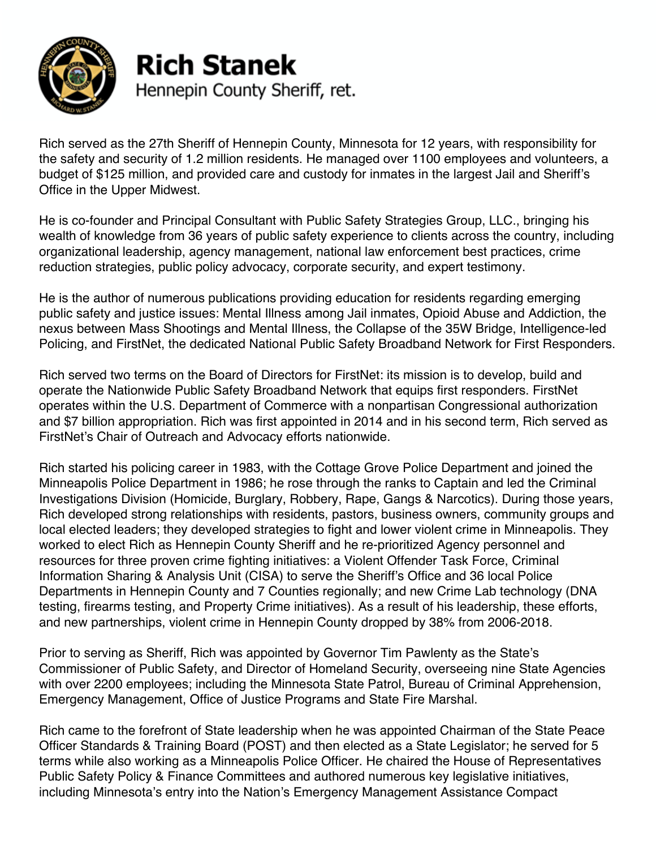

## **Rich Stanek** Hennepin County Sheriff, ret.

Rich served as the 27th Sheriff of Hennepin County, Minnesota for 12 years, with responsibility for the safety and security of 1.2 million residents. He managed over 1100 employees and volunteers, a budget of \$125 million, and provided care and custody for inmates in the largest Jail and Sheriff's Office in the Upper Midwest.

He is co-founder and Principal Consultant with Public Safety Strategies Group, LLC., bringing his wealth of knowledge from 36 years of public safety experience to clients across the country, including organizational leadership, agency management, national law enforcement best practices, crime reduction strategies, public policy advocacy, corporate security, and expert testimony.

He is the author of numerous publications providing education for residents regarding emerging public safety and justice issues: Mental Illness among Jail inmates, Opioid Abuse and Addiction, the nexus between Mass Shootings and Mental Illness, the Collapse of the 35W Bridge, Intelligence-led Policing, and FirstNet, the dedicated National Public Safety Broadband Network for First Responders.

Rich served two terms on the Board of Directors for FirstNet: its mission is to develop, build and operate the Nationwide Public Safety Broadband Network that equips first responders. FirstNet operates within the U.S. Department of Commerce with a nonpartisan Congressional authorization and \$7 billion appropriation. Rich was first appointed in 2014 and in his second term, Rich served as FirstNet's Chair of Outreach and Advocacy efforts nationwide.

Rich started his policing career in 1983, with the Cottage Grove Police Department and joined the Minneapolis Police Department in 1986; he rose through the ranks to Captain and led the Criminal Investigations Division (Homicide, Burglary, Robbery, Rape, Gangs & Narcotics). During those years, Rich developed strong relationships with residents, pastors, business owners, community groups and local elected leaders; they developed strategies to fight and lower violent crime in Minneapolis. They worked to elect Rich as Hennepin County Sheriff and he re-prioritized Agency personnel and resources for three proven crime fighting initiatives: a Violent Offender Task Force, Criminal Information Sharing & Analysis Unit (CISA) to serve the Sheriff's Office and 36 local Police Departments in Hennepin County and 7 Counties regionally; and new Crime Lab technology (DNA testing, firearms testing, and Property Crime initiatives). As a result of his leadership, these efforts, and new partnerships, violent crime in Hennepin County dropped by 38% from 2006-2018.

Prior to serving as Sheriff, Rich was appointed by Governor Tim Pawlenty as the State's Commissioner of Public Safety, and Director of Homeland Security, overseeing nine State Agencies with over 2200 employees; including the Minnesota State Patrol, Bureau of Criminal Apprehension, Emergency Management, Office of Justice Programs and State Fire Marshal.

Rich came to the forefront of State leadership when he was appointed Chairman of the State Peace Officer Standards & Training Board (POST) and then elected as a State Legislator; he served for 5 terms while also working as a Minneapolis Police Officer. He chaired the House of Representatives Public Safety Policy & Finance Committees and authored numerous key legislative initiatives, including Minnesota's entry into the Nation's Emergency Management Assistance Compact